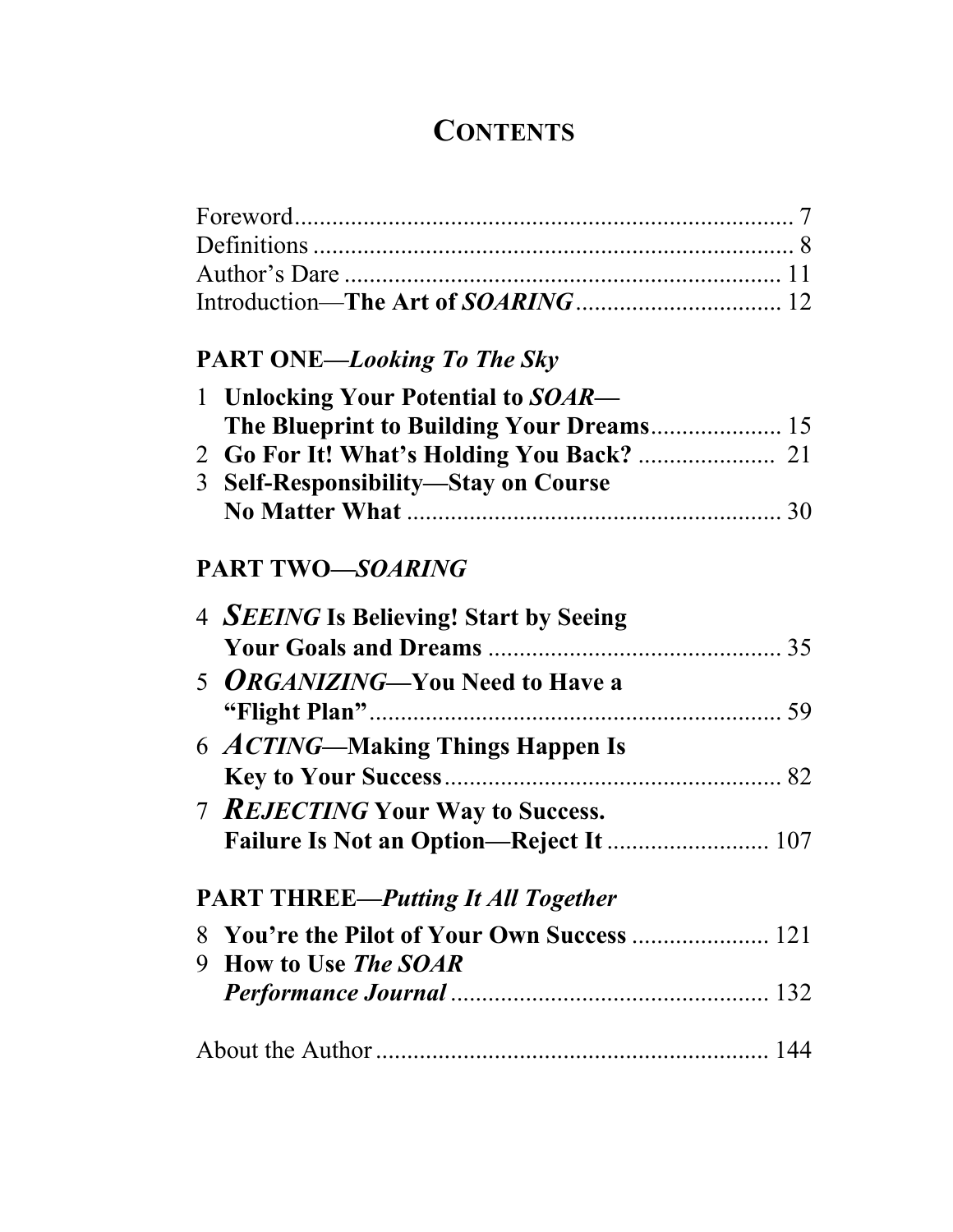# **CONTENTS**

# **PART ONE—***Looking To The Sky*

| 1 Unlocking Your Potential to SOAR—  |  |
|--------------------------------------|--|
|                                      |  |
|                                      |  |
| 3 Self-Responsibility—Stay on Course |  |
|                                      |  |

## **PART TWO—***SOARING*

| 4 <i>SEEING</i> Is Believing! Start by Seeing |  |
|-----------------------------------------------|--|
| 5 ORGANIZING-You Need to Have a               |  |
| 6 <i>ACTING</i> —Making Things Happen Is      |  |
| 7 <i>REJECTING</i> Your Way to Success.       |  |
| <b>PART THREE—Putting It All Together</b>     |  |
| 9 How to Use <i>The SOAR</i>                  |  |
|                                               |  |
|                                               |  |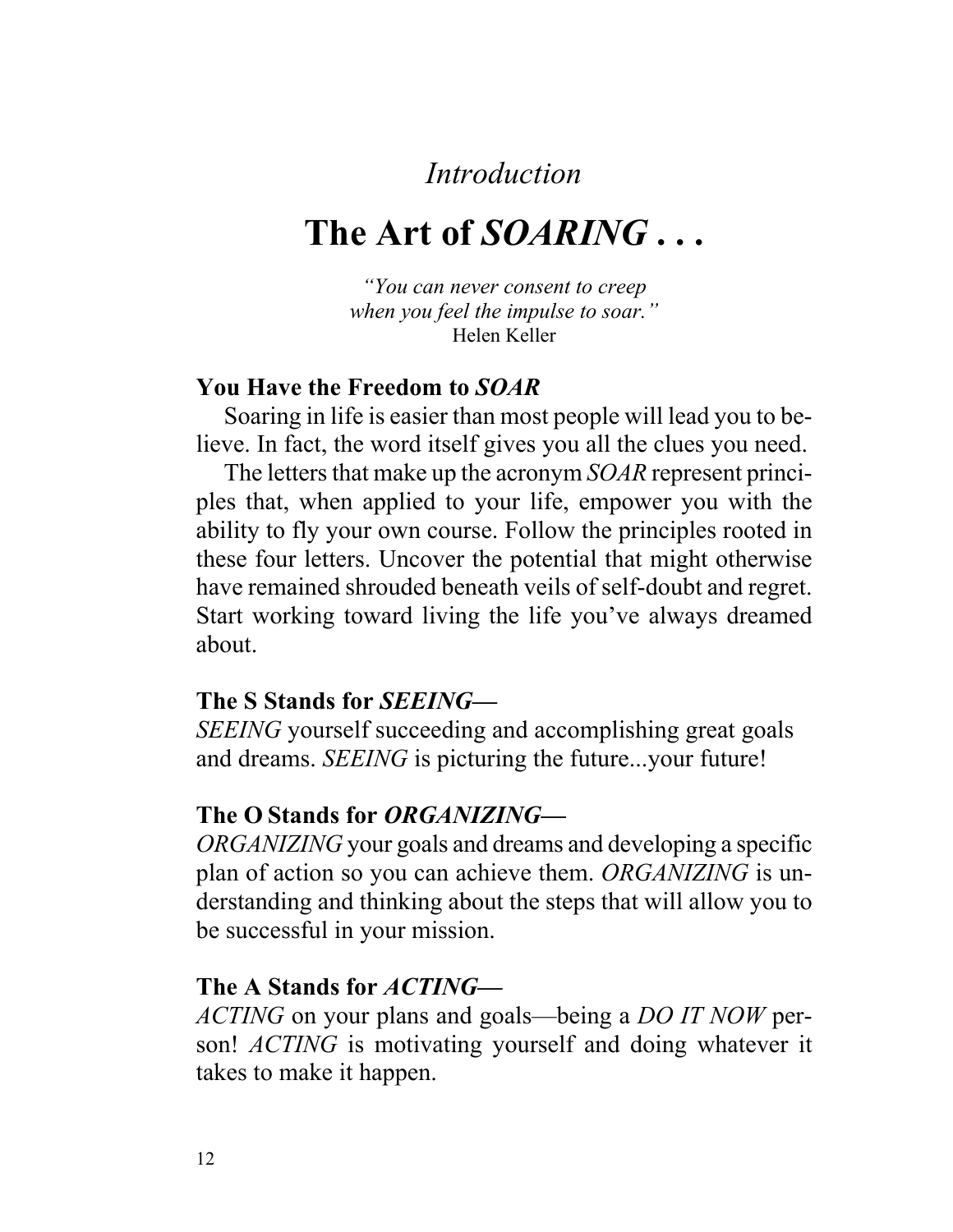# *Introduction*

# **The Art of** *SOARING* **. . .**

*"You can never consent to creep when you feel the impulse to soar."* Helen Keller

#### **You Have the Freedom to** *SOAR*

Soaring in life is easier than most people will lead you to believe. In fact, the word itself gives you all the clues you need.

The letters that make up the acronym *SOAR* represent principles that, when applied to your life, empower you with the ability to fly your own course. Follow the principles rooted in these four letters. Uncover the potential that might otherwise have remained shrouded beneath veils of self-doubt and regret. Start working toward living the life you've always dreamed about.

#### **The S Stands for** *SEEING***—**

*SEEING* yourself succeeding and accomplishing great goals and dreams. *SEEING* is picturing the future...your future!

#### **The O Stands for** *ORGANIZING***—**

*ORGANIZING* your goals and dreams and developing a specific plan of action so you can achieve them. *ORGANIZING* is understanding and thinking about the steps that will allow you to be successful in your mission.

#### **The A Stands for** *ACTING***—**

*ACTING* on your plans and goals—being a *DO IT NOW* person! *ACTING* is motivating yourself and doing whatever it takes to make it happen.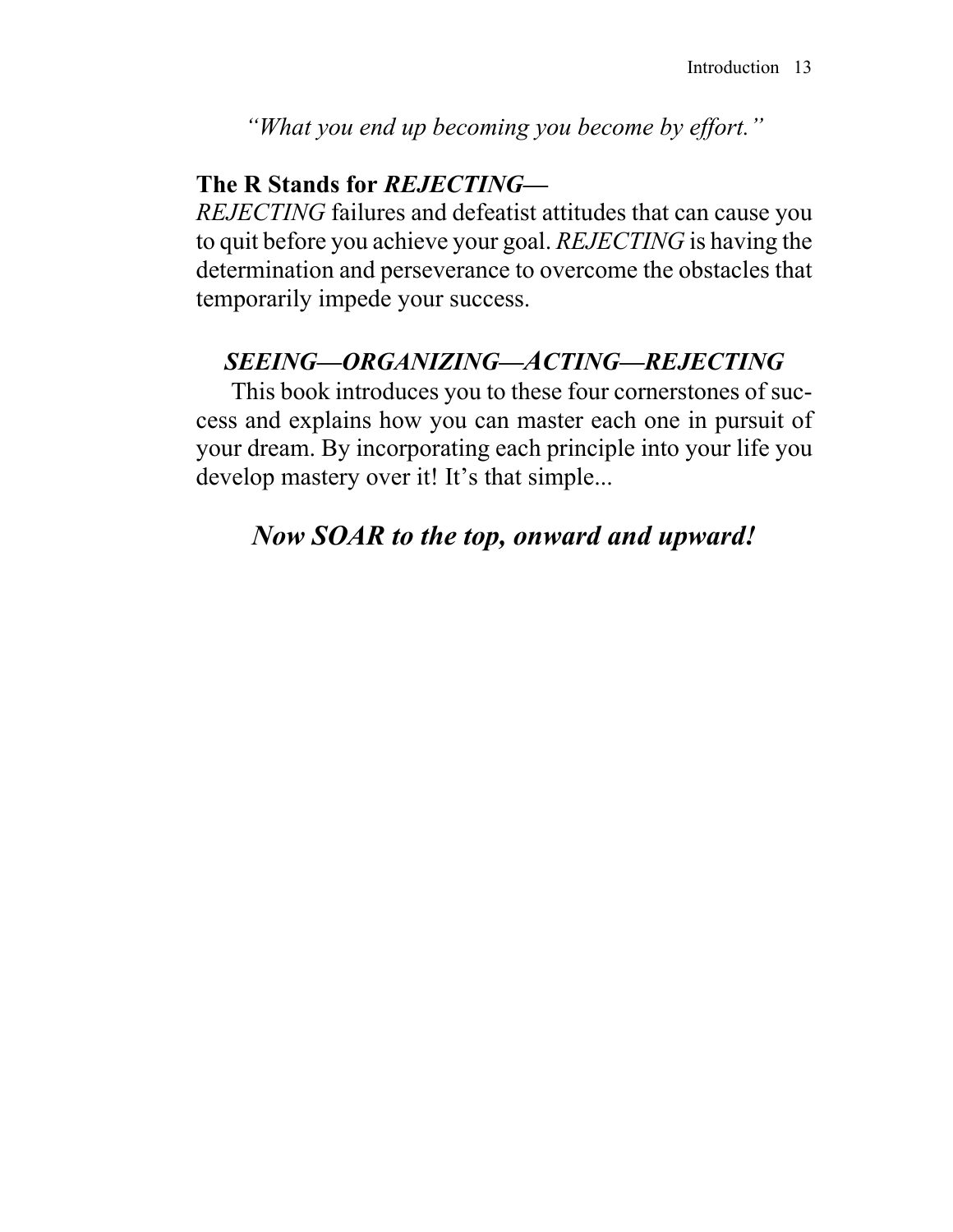*"What you end up becoming you become by effort."* 

### **The R Stands for** *REJECTING***—**

*REJECTING* failures and defeatist attitudes that can cause you to quit before you achieve your goal. *REJECTING* is having the determination and perseverance to overcome the obstacles that temporarily impede your success.

### *SEEING***—***ORGANIZING***—***ACTING***—***REJECTING*

This book introduces you to these four cornerstones of success and explains how you can master each one in pursuit of your dream. By incorporating each principle into your life you develop mastery over it! It's that simple...

## *Now SOAR to the top, onward and upward!*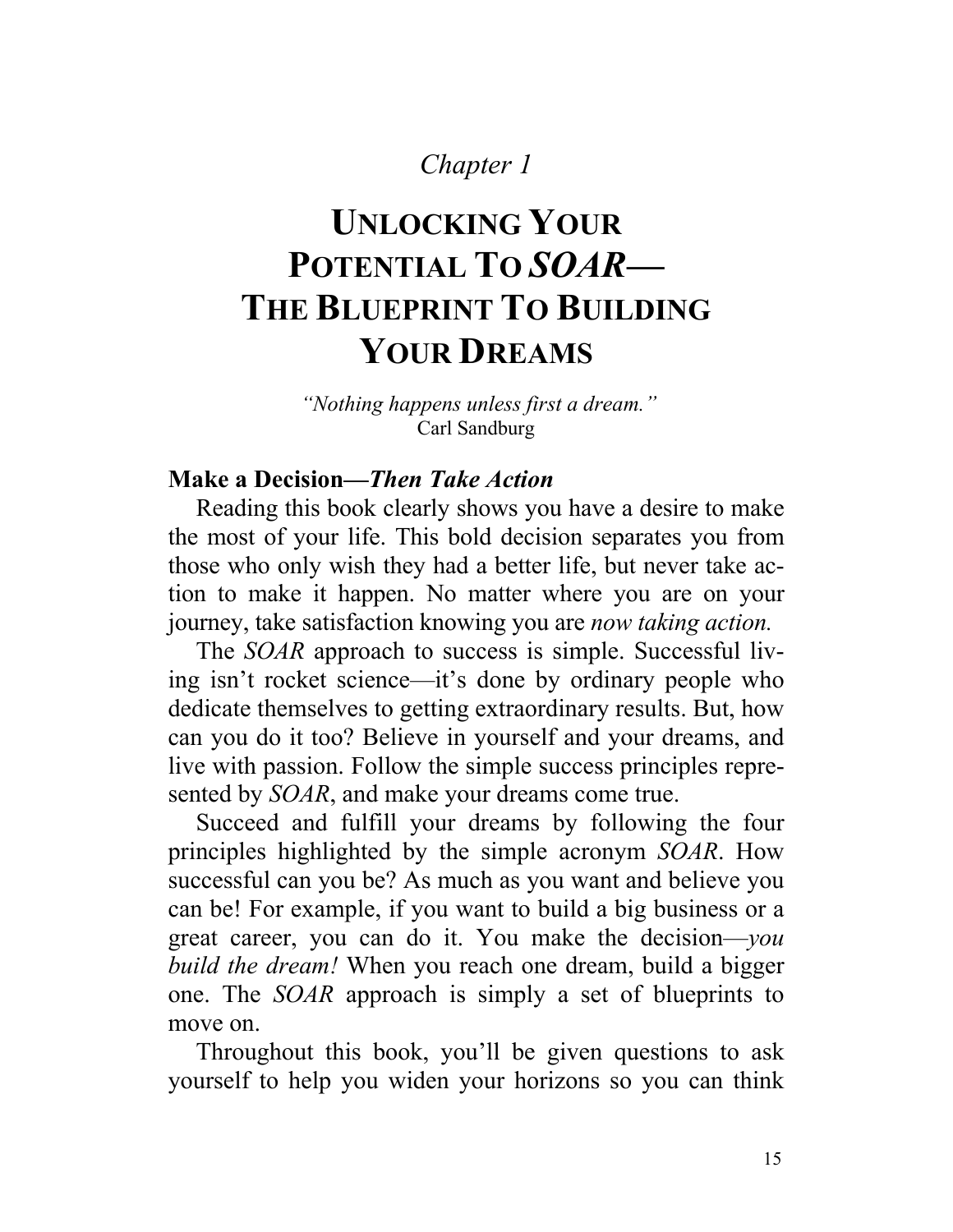# *Chapter 1*

# **UNLOCKING YOUR POTENTIAL TO** *SOAR***— THE BLUEPRINT TO BUILDING YOUR DREAMS**

 *"Nothing happens unless first a dream."*  Carl Sandburg

#### **Make a Decision—***Then Take Action*

 Reading this book clearly shows you have a desire to make the most of your life. This bold decision separates you from those who only wish they had a better life, but never take action to make it happen. No matter where you are on your journey, take satisfaction knowing you are *now taking action.* 

The *SOAR* approach to success is simple. Successful living isn't rocket science—it's done by ordinary people who dedicate themselves to getting extraordinary results. But, how can you do it too? Believe in yourself and your dreams, and live with passion. Follow the simple success principles represented by *SOAR*, and make your dreams come true.

 Succeed and fulfill your dreams by following the four principles highlighted by the simple acronym *SOAR*. How successful can you be? As much as you want and believe you can be! For example, if you want to build a big business or a great career, you can do it. You make the decision—*you build the dream!* When you reach one dream, build a bigger one. The *SOAR* approach is simply a set of blueprints to move on.

 Throughout this book, you'll be given questions to ask yourself to help you widen your horizons so you can think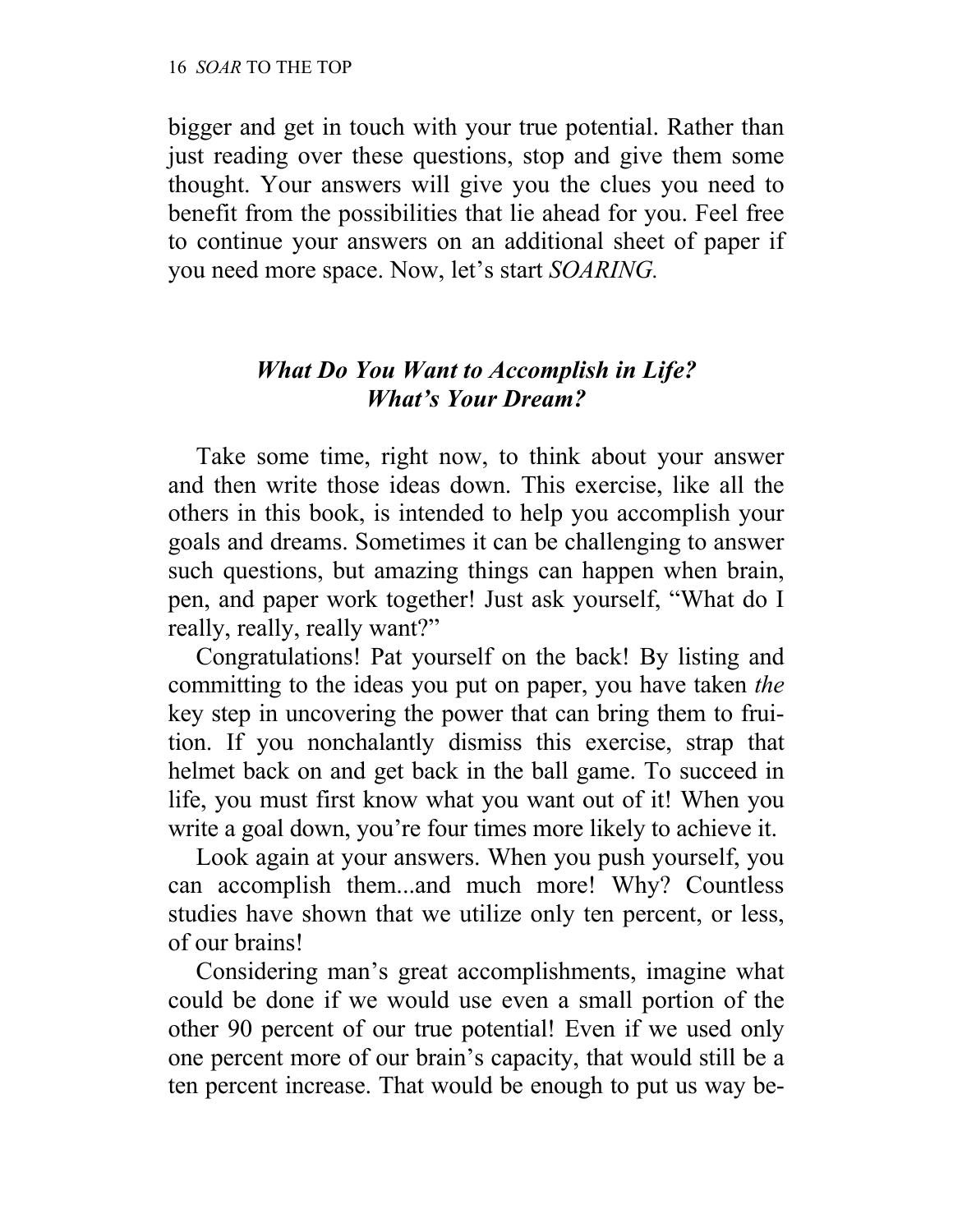bigger and get in touch with your true potential. Rather than just reading over these questions, stop and give them some thought. Your answers will give you the clues you need to benefit from the possibilities that lie ahead for you. Feel free to continue your answers on an additional sheet of paper if you need more space. Now, let's start *SOARING.* 

## *What Do You Want to Accomplish in Life? What's Your Dream?*

 Take some time, right now, to think about your answer and then write those ideas down. This exercise, like all the others in this book, is intended to help you accomplish your goals and dreams. Sometimes it can be challenging to answer such questions, but amazing things can happen when brain, pen, and paper work together! Just ask yourself, "What do I really, really, really want?"

 Congratulations! Pat yourself on the back! By listing and committing to the ideas you put on paper, you have taken *the* key step in uncovering the power that can bring them to fruition. If you nonchalantly dismiss this exercise, strap that helmet back on and get back in the ball game. To succeed in life, you must first know what you want out of it! When you write a goal down, you're four times more likely to achieve it.

 Look again at your answers. When you push yourself, you can accomplish them...and much more! Why? Countless studies have shown that we utilize only ten percent, or less, of our brains!

 Considering man's great accomplishments, imagine what could be done if we would use even a small portion of the other 90 percent of our true potential! Even if we used only one percent more of our brain's capacity, that would still be a ten percent increase. That would be enough to put us way be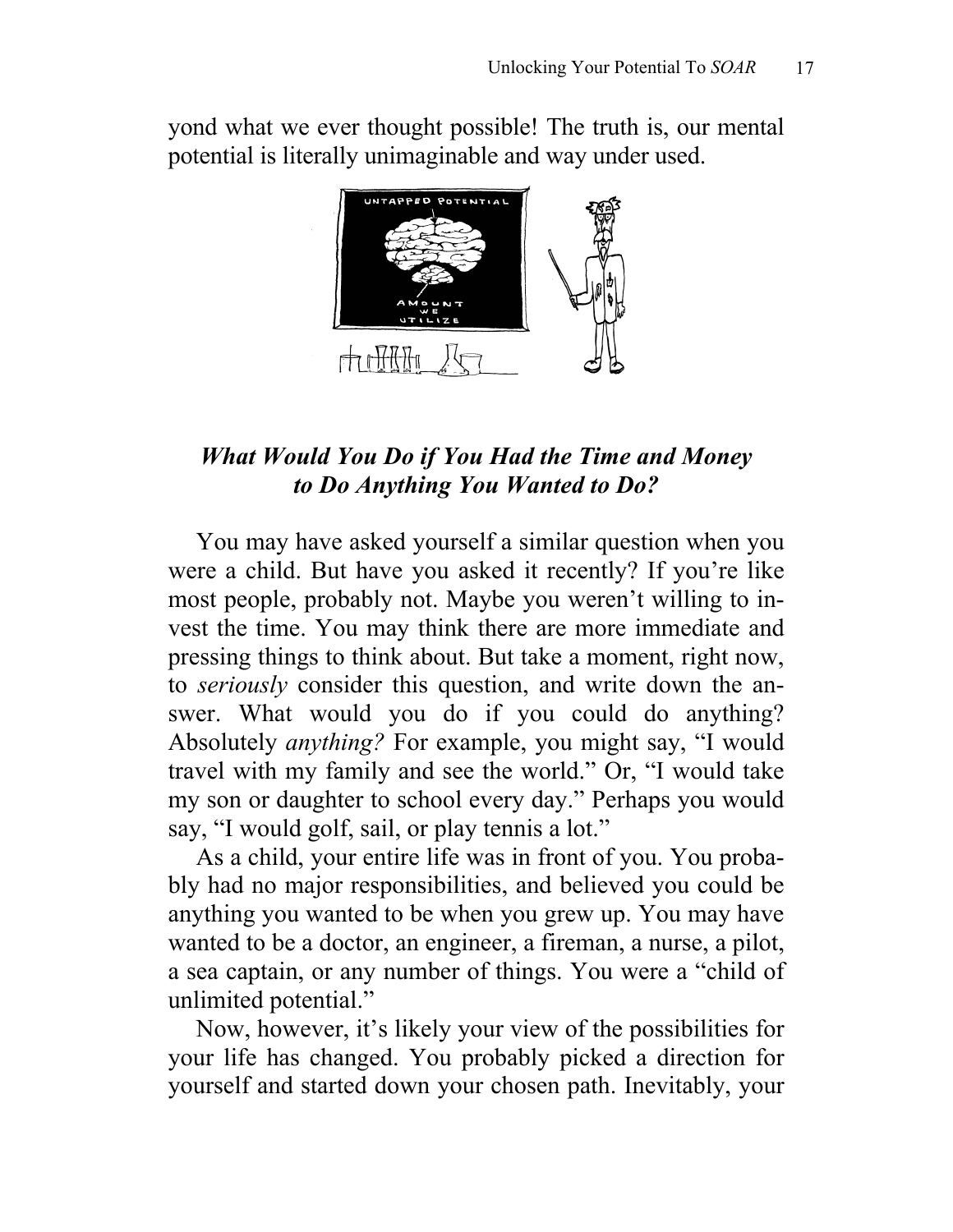yond what we ever thought possible! The truth is, our mental potential is literally unimaginable and way under used.



## *What Would You Do if You Had the Time and Money to Do Anything You Wanted to Do?*

 You may have asked yourself a similar question when you were a child. But have you asked it recently? If you're like most people, probably not. Maybe you weren't willing to invest the time. You may think there are more immediate and pressing things to think about. But take a moment, right now, to *seriously* consider this question, and write down the answer. What would you do if you could do anything? Absolutely *anything?* For example, you might say, "I would travel with my family and see the world." Or, "I would take my son or daughter to school every day." Perhaps you would say, "I would golf, sail, or play tennis a lot."

 As a child, your entire life was in front of you. You probably had no major responsibilities, and believed you could be anything you wanted to be when you grew up. You may have wanted to be a doctor, an engineer, a fireman, a nurse, a pilot, a sea captain, or any number of things. You were a "child of unlimited potential."

 Now, however, it's likely your view of the possibilities for your life has changed. You probably picked a direction for yourself and started down your chosen path. Inevitably, your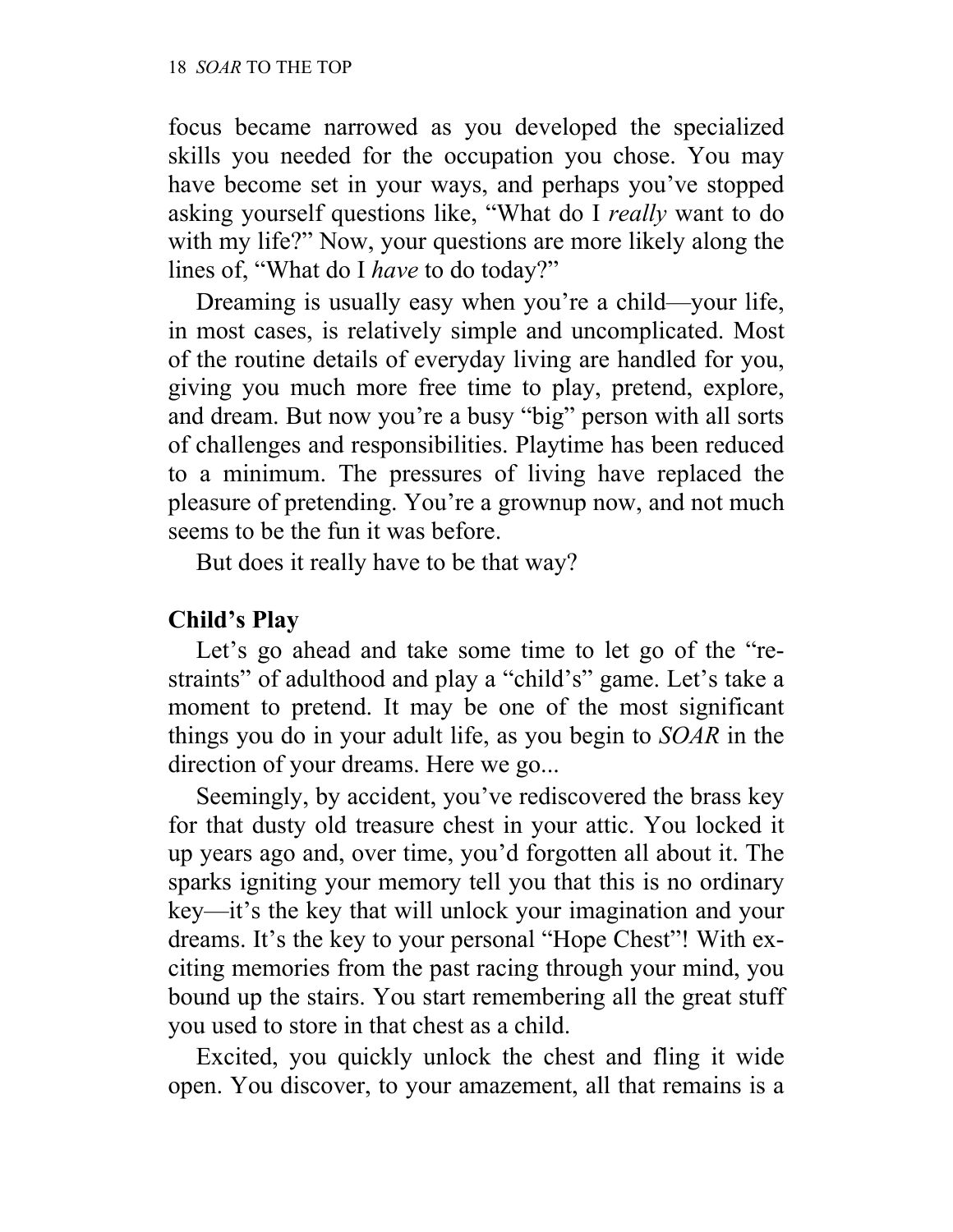focus became narrowed as you developed the specialized skills you needed for the occupation you chose. You may have become set in your ways, and perhaps you've stopped asking yourself questions like, "What do I *really* want to do with my life?" Now, your questions are more likely along the lines of, "What do I *have* to do today?"

 Dreaming is usually easy when you're a child—your life, in most cases, is relatively simple and uncomplicated. Most of the routine details of everyday living are handled for you, giving you much more free time to play, pretend, explore, and dream. But now you're a busy "big" person with all sorts of challenges and responsibilities. Playtime has been reduced to a minimum. The pressures of living have replaced the pleasure of pretending. You're a grownup now, and not much seems to be the fun it was before.

But does it really have to be that way?

## **Child's Play**

 Let's go ahead and take some time to let go of the "restraints" of adulthood and play a "child's" game. Let's take a moment to pretend. It may be one of the most significant things you do in your adult life, as you begin to *SOAR* in the direction of your dreams. Here we go...

 Seemingly, by accident, you've rediscovered the brass key for that dusty old treasure chest in your attic. You locked it up years ago and, over time, you'd forgotten all about it. The sparks igniting your memory tell you that this is no ordinary key—it's the key that will unlock your imagination and your dreams. It's the key to your personal "Hope Chest"! With exciting memories from the past racing through your mind, you bound up the stairs. You start remembering all the great stuff you used to store in that chest as a child.

 Excited, you quickly unlock the chest and fling it wide open. You discover, to your amazement, all that remains is a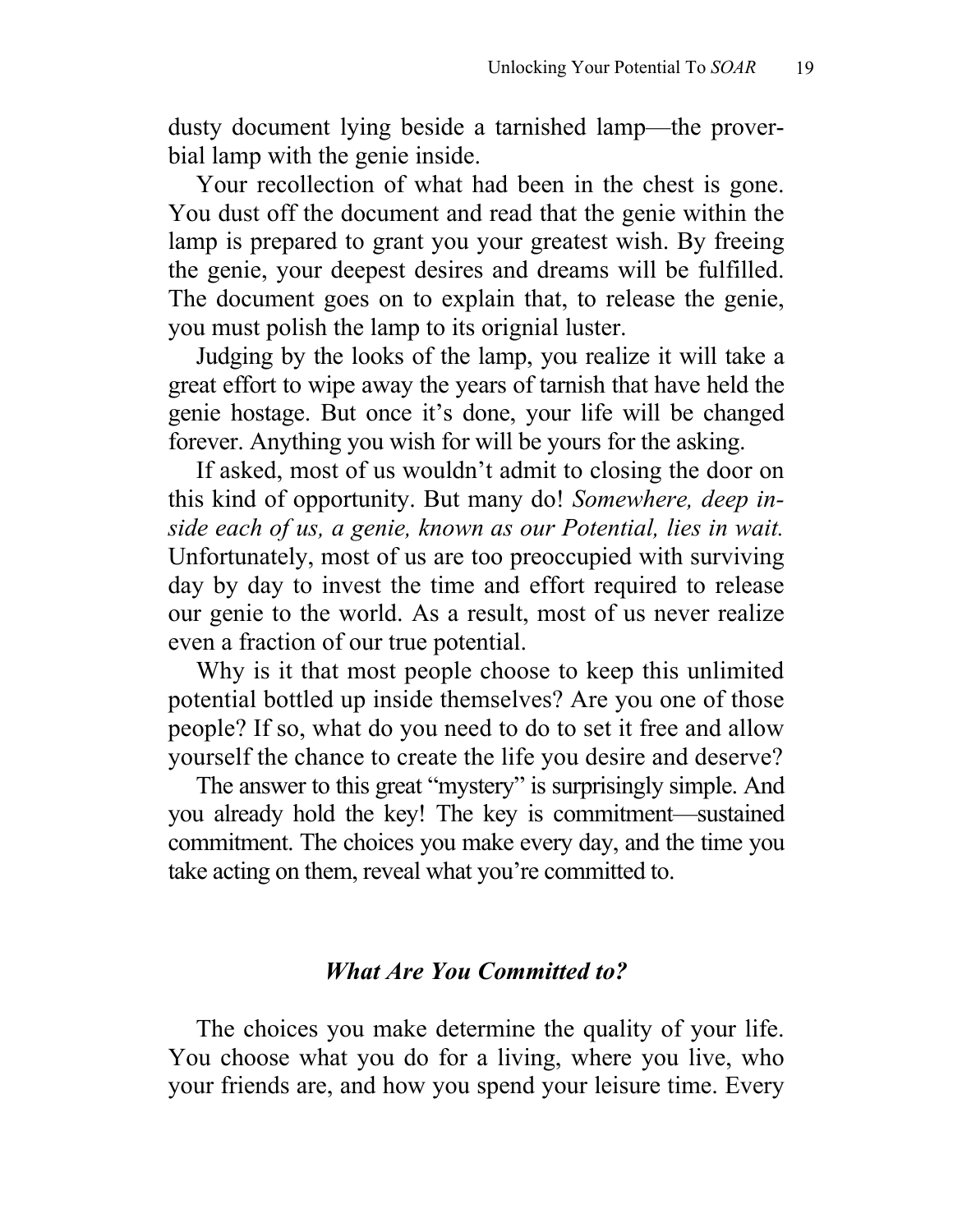dusty document lying beside a tarnished lamp—the proverbial lamp with the genie inside.

 Your recollection of what had been in the chest is gone. You dust off the document and read that the genie within the lamp is prepared to grant you your greatest wish. By freeing the genie, your deepest desires and dreams will be fulfilled. The document goes on to explain that, to release the genie, you must polish the lamp to its orignial luster.

 Judging by the looks of the lamp, you realize it will take a great effort to wipe away the years of tarnish that have held the genie hostage. But once it's done, your life will be changed forever. Anything you wish for will be yours for the asking.

 If asked, most of us wouldn't admit to closing the door on this kind of opportunity. But many do! *Somewhere, deep inside each of us, a genie, known as our Potential, lies in wait.* Unfortunately, most of us are too preoccupied with surviving day by day to invest the time and effort required to release our genie to the world. As a result, most of us never realize even a fraction of our true potential.

 Why is it that most people choose to keep this unlimited potential bottled up inside themselves? Are you one of those people? If so, what do you need to do to set it free and allow yourself the chance to create the life you desire and deserve?

 The answer to this great "mystery" is surprisingly simple. And you already hold the key! The key is commitment—sustained commitment. The choices you make every day, and the time you take acting on them, reveal what you're committed to.

#### *What Are You Committed to?*

 The choices you make determine the quality of your life. You choose what you do for a living, where you live, who your friends are, and how you spend your leisure time. Every